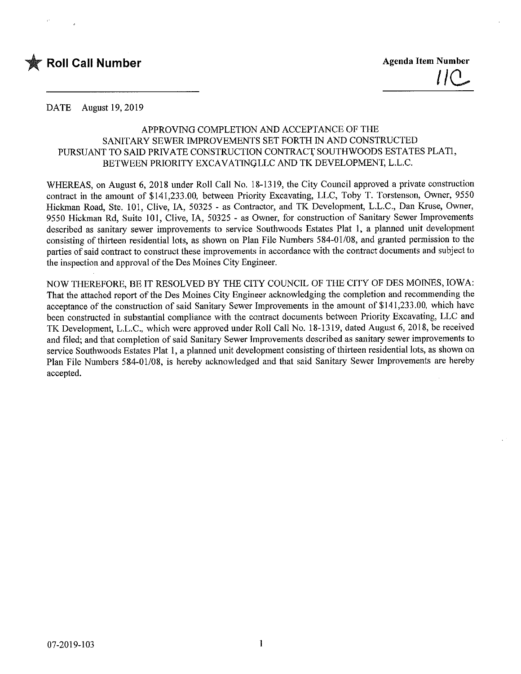

DATE August 19,2019

# APPROVING COMPLETION AND ACCEPTANCE OF THE SANITARY SEWER IMPROVEMENTS SET FORTH IN AND CONSTRUCTED PURSUANT TO SAID PRFVATE CONSTRUCTION CONTRACT SOUTHWOODS ESTATES PLAT1, BETWEEN PRIORITY EXCAVATINQLLC AND TK DEVELOPMENT, L.L.C.

WHEREAS, on August 6, 2018 under Roll Call No. 18-1319, the City Council approved a private construction contract in the amount of \$141,233.00, between Priority Excavating, LLC, Toby T. Torstenson, Owner, 9550 Hickman Road, Ste. 101, Clive, IA, 50325 - as Contractor, and TK Development, L.L.C., Dan Kruse, Owner, 9550 Hickman Rd, Suite 101, Clive, IA, 50325 - as Owner, for construction of Sanitary Sewer Improvements described as sanitary sewer improvements to service Southwoods Estates Plat 1, a planned unit development consisting of thirteen residential lots, as shown on Plan File Numbers 584-01/08, and granted permission to the parties of said contract to construct these improvements in accordance with the contract documents and subject to the inspection and approval of the Des Moines City Engineer.

NOW THEREFORE, BE IT RESOLVED BY THE CITY COUNCIL OF THE CITY OF DES MOINES, IOWA: That the attached report of the Des Moines City Engineer acknowledging the completion and recommending the acceptance of the construction of said Sanitary Sewer Improvements in the amount of \$141,233.00, which have been constructed in substantial compliance with the contract documents between Priority Excavating, LLC and TK Development, L.L.C., which were approved under Roll Call No. 18-1319, dated August 6, 2018, be received and filed; and that completion of said Sanitary Sewer Improvements described as sanitary sewer improvements to service Southwoods Estates Plat 1, a planned unit development consisting of thirteen residential lots, as shown on Plan File Numbers 584-01/08, is hereby acknowledged and that said Sanitary Sewer Improvements are hereby accepted.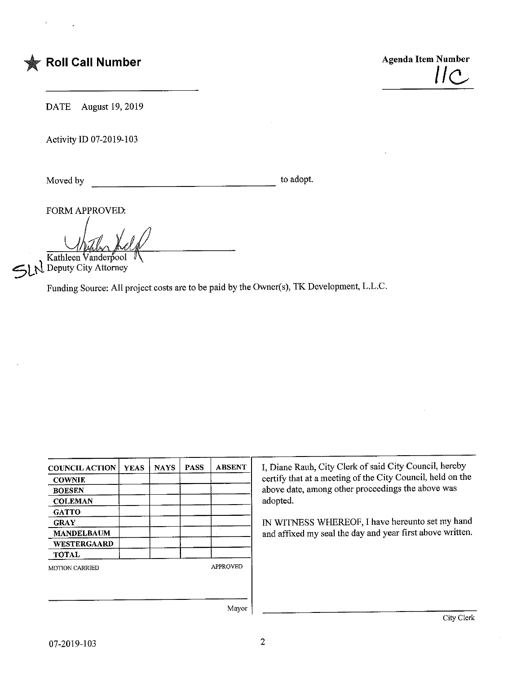

DATE August 19,2019

Activity ID 07-2019-103

Moved by to adopt.

FORM APPROVED:

Kathleen Vanderpool

Deputy City Attorney

Funding Source: All project costs are to be paid by the Owner(s), TK Development, L.L.C.

| <b>COUNCIL ACTION</b> | <b>YEAS</b> | <b>NAYS</b> | <b>PASS</b> | <b>ABSENT</b>   |
|-----------------------|-------------|-------------|-------------|-----------------|
| <b>COWNIE</b>         |             |             |             |                 |
| <b>BOESEN</b>         |             |             |             |                 |
| <b>COLEMAN</b>        |             |             |             |                 |
| <b>GATTO</b>          |             |             |             |                 |
| <b>GRAY</b>           |             |             |             |                 |
| <b>MANDELBAUM</b>     |             |             |             |                 |
| WESTERGAARD           |             |             |             |                 |
| <b>TOTAL</b>          |             |             |             |                 |
| <b>MOTION CARRIED</b> |             |             |             | <b>APPROVED</b> |
|                       |             |             |             |                 |

I, Diane Rauh, City Clerk of said City Council, hereby certify that at a meeting of the City Council, held on the above date, among other proceedings the above was adopted.

IN WITNESS WHEREOF, I have hereunto set my hand and affixed my seal the day and year first above written.

Mayor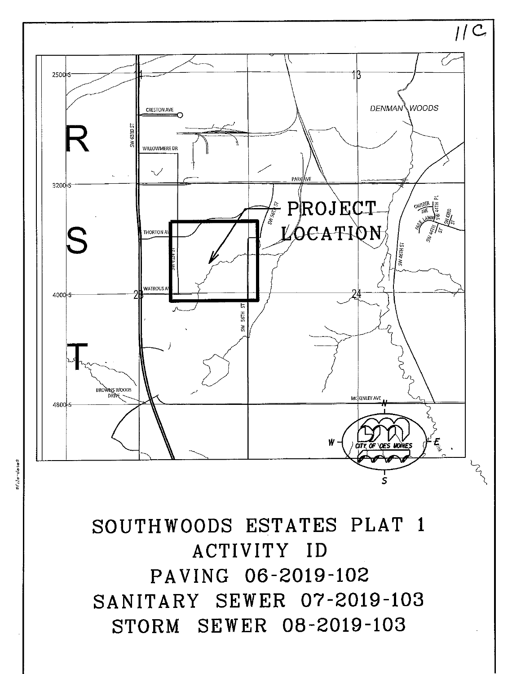SOUTHWOODS ESTATES PLAT 1 ACTIVITY ID PAVING 06-2019-102 SANITARY SEWER 07-2019-103 STORM SEWER 08-2019-103



 $1/C$ 

file-dates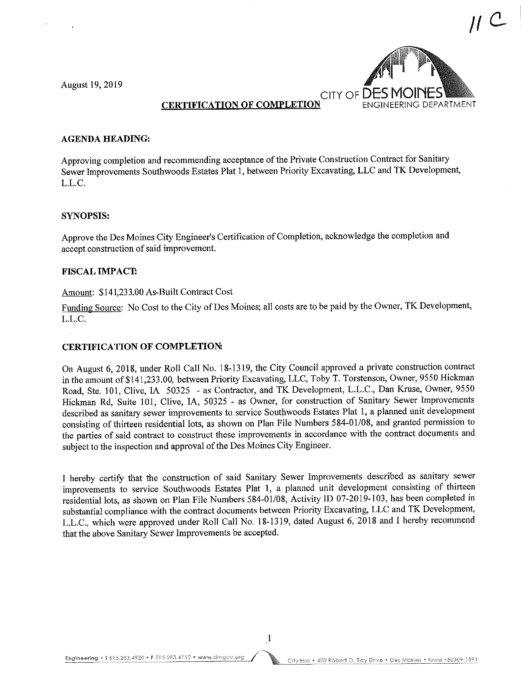August 19, 2019



## CERTIFICATION OF COMPLETION

#### AGENDA HEADING:

Approving completion and recommending acceptance of the Private Construction Contract for Sanitary Sewer Improvements Southwoods Estates Plat 1, between Priority Excavating, LLC and TK Development, L.L.C.

#### SYNOPSIS:

Approve the Des Moines City Engineer's Certification of Completion, acknowledge the completion and accept construction of said improvement.

#### FISCAL IMPACT

#### Amount: \$141,233.00 As-Built Contract Cost

Funding Source: No Cost to the City of Des Moines; all costs are to be paid by the Owner, TK Development, L.L.C.

### CERTIFICATION OF COMPLETION:

On August 6, 2018, under Roll Call No. 18-1319, the City Council approved a private construction contract in the amount of \$141,233.00, between Priority Excavating, LLC, Toby T. Torstenson, Owner, 9550 Hickman Road, Ste. 101, Clive, IA 50325 - as Contractor, and TK Development, L.L.C., Dan Kruse, Owner, 9550 Hickman Rd, Suite 101, Clive, IA, 50325 - as Owner, for construction of Sanitary Sewer Improvements described as sanitary sewer improvements to service Southwoods Estates Plat 1, a planned unit development consisting of thirteen residential lots, as shown on Plan File Numbers 584-01/08, and granted permission to the parties of said contract to construct these improvements in accordance with the contract documents and subject to the inspection and approval of the Des Moines City Engineer.

I hereby certify that the construction of said Sanitary Sewer Improvements described as sanitary sewer improvements to service Southwoods Estates Plat 1, a planned unit development consisting of thirteen residential lots, as shown on Plan File Numbers 584-01/08, Activity ID 07-2019-103, has been completed in substantial compliance with the contract documents between Priority Excavating, LLC and TK Development, L.L.C., which were approved under Roll Call No. 18-1319, dated August 6, 2018 and I hereby recommend that the above Sanitary Sewer Improvements be accepted.

City Hall • 400 Robert D. Ray Drive • Des Moines • Iowa • 50309-1891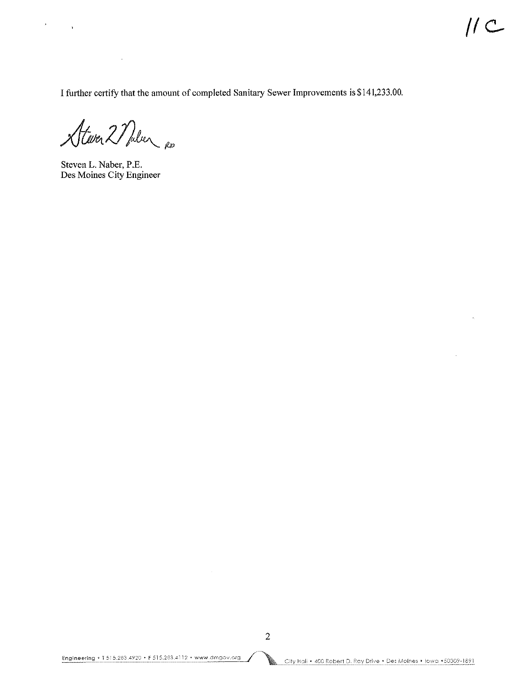$\hat{\mathcal{L}}$ 

I further certify that the amount of completed Sanitary Sewer Improvements is \$141,233.00.

Atever 2 Nuler RD

 $\sim 10^7$ 

 $\frac{1}{2}$  ,  $\frac{1}{2}$  ,  $\frac{1}{2}$  ,  $\frac{1}{2}$ 

Steven L. Naber, P.E. Des Moines City Engineer

 $\sim$